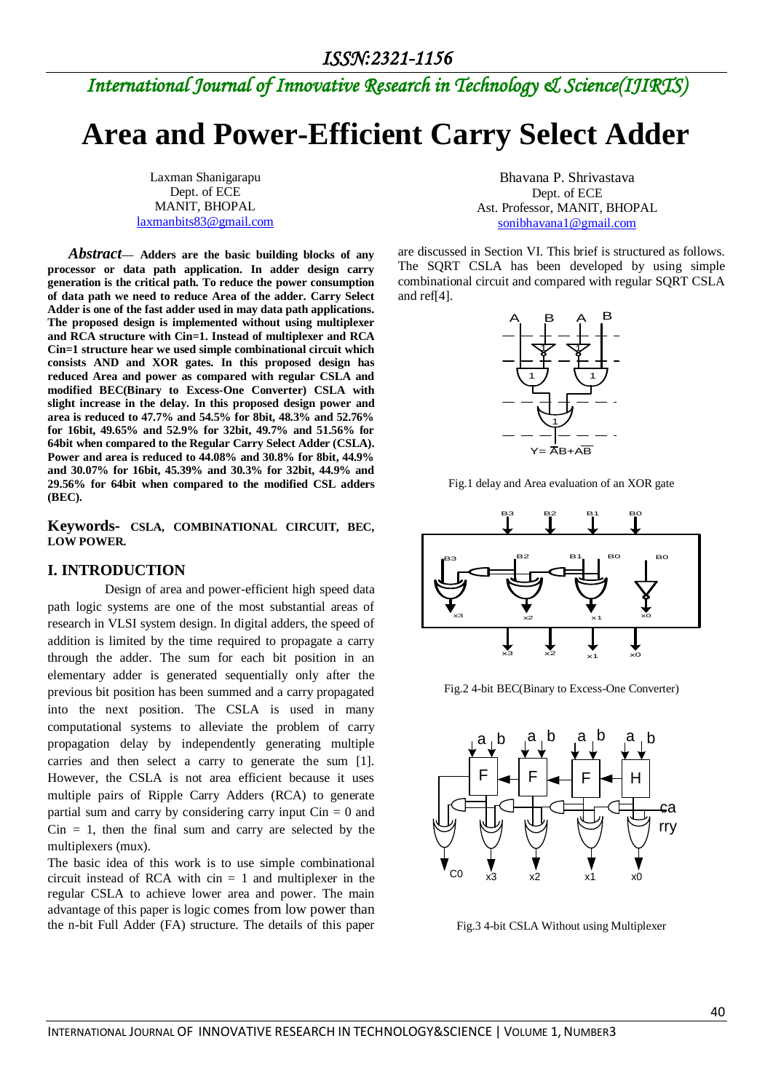## *International Journal of Innovative Research in Technology & Science(IJIRTS)*

# **Area and Power-Efficient Carry Select Adder**

Laxman Shanigarapu Dept. of ECE MANIT, BHOPAL [laxmanbits83@gmail.com](mailto:laxmanbits83@gmail.com)

 *Abstract***— Adders are the basic building blocks of any processor or data path application. In adder design carry generation is the critical path. To reduce the power consumption of data path we need to reduce Area of the adder. Carry Select Adder is one of the fast adder used in may data path applications. The proposed design is implemented without using multiplexer and RCA structure with Cin=1. Instead of multiplexer and RCA Cin=1 structure hear we used simple combinational circuit which consists AND and XOR gates. In this proposed design has reduced Area and power as compared with regular CSLA and modified BEC(Binary to Excess-One Converter) CSLA with slight increase in the delay. In this proposed design power and area is reduced to 47.7% and 54.5% for 8bit, 48.3% and 52.76% for 16bit, 49.65% and 52.9% for 32bit, 49.7% and 51.56% for 64bit when compared to the Regular Carry Select Adder (CSLA). Power and area is reduced to 44.08% and 30.8% for 8bit, 44.9% and 30.07% for 16bit, 45.39% and 30.3% for 32bit, 44.9% and 29.56% for 64bit when compared to the modified CSL adders (BEC).**

**Keywords- CSLA, COMBINATIONAL CIRCUIT, BEC, LOW POWER.** 

#### **I. INTRODUCTION**

 Design of area and power-efficient high speed data path logic systems are one of the most substantial areas of research in VLSI system design. In digital adders, the speed of addition is limited by the time required to propagate a carry through the adder. The sum for each bit position in an elementary adder is generated sequentially only after the previous bit position has been summed and a carry propagated into the next position. The CSLA is used in many computational systems to alleviate the problem of carry propagation delay by independently generating multiple carries and then select a carry to generate the sum [1]. However, the CSLA is not area efficient because it uses multiple pairs of Ripple Carry Adders (RCA) to generate partial sum and carry by considering carry input  $C\text{in} = 0$  and  $C$ in = 1, then the final sum and carry are selected by the multiplexers (mux).

The basic idea of this work is to use simple combinational circuit instead of RCA with  $cin = 1$  and multiplexer in the regular CSLA to achieve lower area and power. The main advantage of this paper is logic comes from low power than the n-bit Full Adder (FA) structure. The details of this paper

Bhavana P. Shrivastava Dept. of ECE Ast. Professor, MANIT, BHOPAL [sonibhavana1@gmail.com](mailto:sonibhavana1@gmail.com)

are discussed in Section VI. This brief is structured as follows. The SQRT CSLA has been developed by using simple combinational circuit and compared with regular SQRT CSLA and ref[4].



Fig.1 delay and Area evaluation of an XOR gate



Fig.2 4-bit BEC(Binary to Excess-One Converter)



Fig.3 4-bit CSLA Without using Multiplexer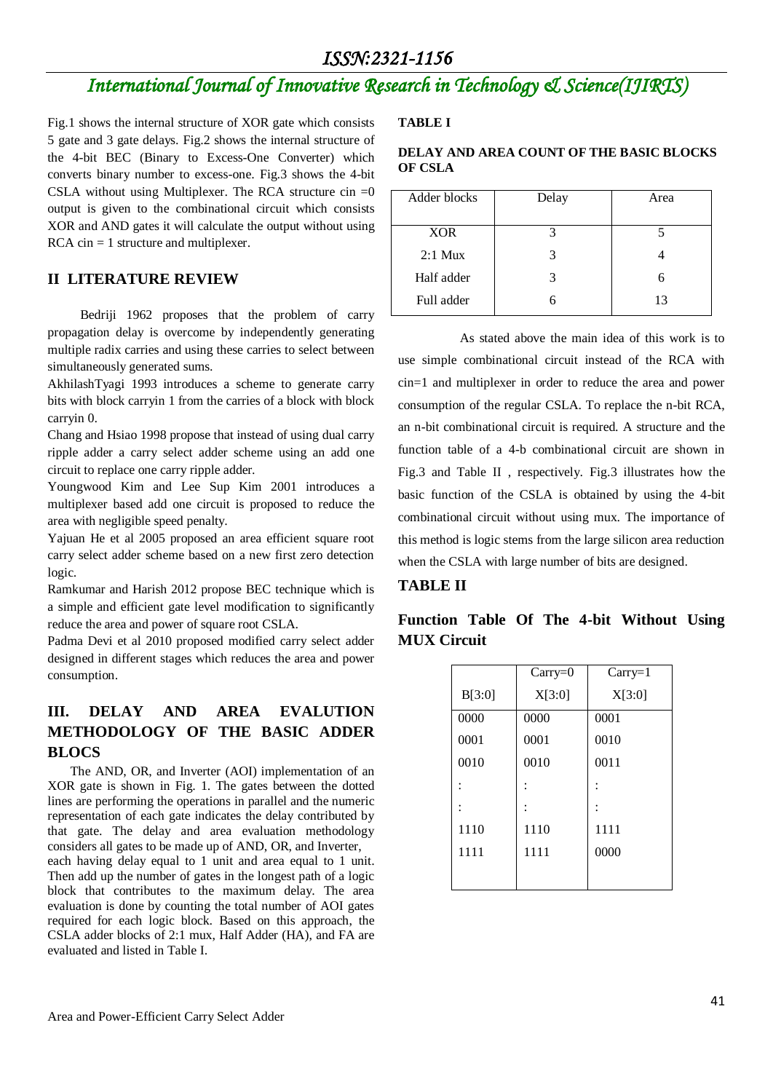## *International Journal of Innovative Research in Technology & Science(IJIRTS)*

Fig.1 shows the internal structure of XOR gate which consists 5 gate and 3 gate delays. Fig.2 shows the internal structure of the 4-bit BEC (Binary to Excess-One Converter) which converts binary number to excess-one. Fig.3 shows the 4-bit CSLA without using Multiplexer. The RCA structure cin  $=0$ output is given to the combinational circuit which consists XOR and AND gates it will calculate the output without using  $RCA \text{ cin} = 1$  structure and multiplexer.

#### **II LITERATURE REVIEW**

 Bedriji 1962 proposes that the problem of carry propagation delay is overcome by independently generating multiple radix carries and using these carries to select between simultaneously generated sums.

AkhilashTyagi 1993 introduces a scheme to generate carry bits with block carryin 1 from the carries of a block with block carryin 0.

Chang and Hsiao 1998 propose that instead of using dual carry ripple adder a carry select adder scheme using an add one circuit to replace one carry ripple adder.

Youngwood Kim and Lee Sup Kim 2001 introduces a multiplexer based add one circuit is proposed to reduce the area with negligible speed penalty.

Yajuan He et al 2005 proposed an area efficient square root carry select adder scheme based on a new first zero detection logic.

Ramkumar and Harish 2012 propose BEC technique which is a simple and efficient gate level modification to significantly reduce the area and power of square root CSLA.

Padma Devi et al 2010 proposed modified carry select adder designed in different stages which reduces the area and power consumption.

### **III. DELAY AND AREA EVALUTION METHODOLOGY OF THE BASIC ADDER BLOCS**

 The AND, OR, and Inverter (AOI) implementation of an XOR gate is shown in Fig. 1. The gates between the dotted lines are performing the operations in parallel and the numeric representation of each gate indicates the delay contributed by that gate. The delay and area evaluation methodology considers all gates to be made up of AND, OR, and Inverter,

each having delay equal to 1 unit and area equal to 1 unit. Then add up the number of gates in the longest path of a logic block that contributes to the maximum delay. The area evaluation is done by counting the total number of AOI gates required for each logic block. Based on this approach, the CSLA adder blocks of 2:1 mux, Half Adder (HA), and FA are evaluated and listed in Table I.

#### **TABLE I**

#### **DELAY AND AREA COUNT OF THE BASIC BLOCKS OF CSLA**

| Adder blocks | Delay | Area |
|--------------|-------|------|
| <b>XOR</b>   | 2     |      |
|              |       |      |
| $2:1$ Mux    |       |      |
| Half adder   |       |      |
| Full adder   |       | 13   |

 As stated above the main idea of this work is to use simple combinational circuit instead of the RCA with cin=1 and multiplexer in order to reduce the area and power consumption of the regular CSLA. To replace the n-bit RCA, an n-bit combinational circuit is required. A structure and the function table of a 4-b combinational circuit are shown in Fig.3 and Table II , respectively. Fig.3 illustrates how the basic function of the CSLA is obtained by using the 4-bit combinational circuit without using mux. The importance of this method is logic stems from the large silicon area reduction when the CSLA with large number of bits are designed.

#### **TABLE II**

|        | $Carry=0$ | $Carry=1$ |
|--------|-----------|-----------|
| B[3:0] | X[3:0]    | X[3:0]    |
| 0000   | 0000      | 0001      |
| 0001   | 0001      | 0010      |
| 0010   | 0010      | 0011      |
|        |           |           |
|        |           |           |
| 1110   | 1110      | 1111      |
| 1111   | 1111      | 0000      |
|        |           |           |

### **Function Table Of The 4-bit Without Using MUX Circuit**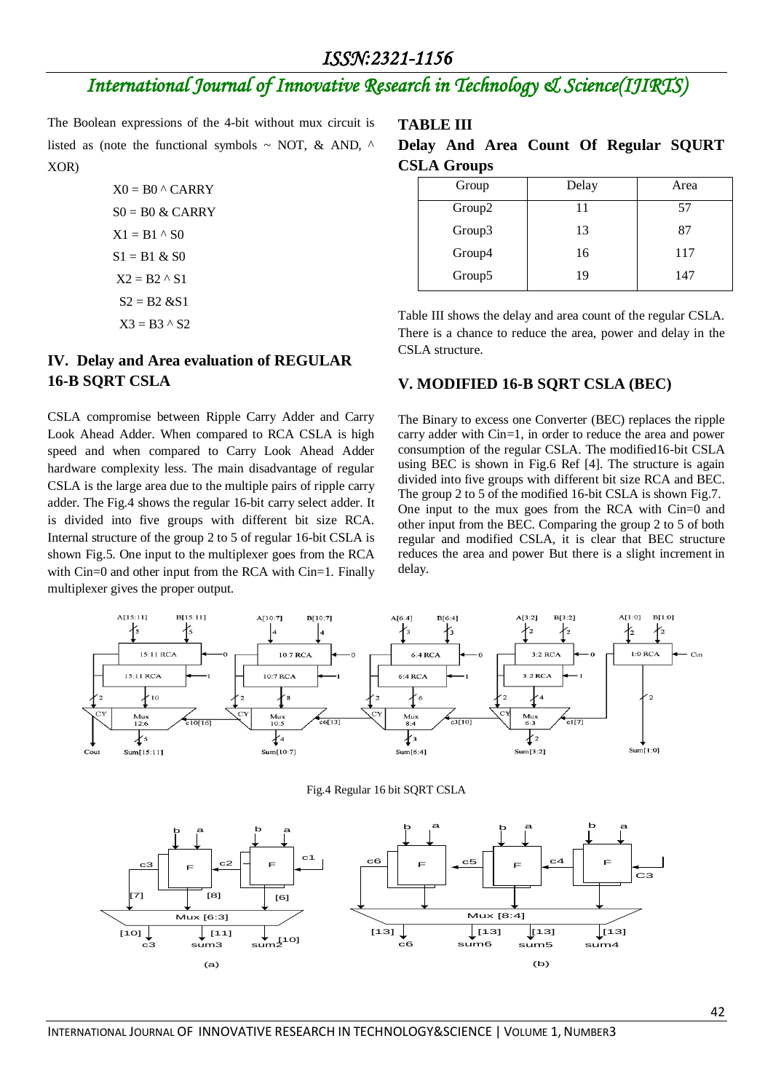## *International Journal of Innovative Research in Technology & Science(IJIRTS)*

The Boolean expressions of the 4-bit without mux circuit is listed as (note the functional symbols  $\sim$  NOT, & AND,  $\land$ XOR)

> $X0 = B0$  ^ CARRY  $S0 = B0 \& CARRY$  $X1 = B1 \wedge S0$  $S1 = B1 & 80$  $X2 = B2 \wedge S1$  $S2 = B2 & S1$  $X3 = B3 \wedge S2$

#### **IV. Delay and Area evaluation of REGULAR 16-B SQRT CSLA**

CSLA compromise between Ripple Carry Adder and Carry Look Ahead Adder. When compared to RCA CSLA is high speed and when compared to Carry Look Ahead Adder hardware complexity less. The main disadvantage of regular CSLA is the large area due to the multiple pairs of ripple carry adder. The Fig.4 shows the regular 16-bit carry select adder. It is divided into five groups with different bit size RCA. Internal structure of the group 2 to 5 of regular 16-bit CSLA is shown Fig.5. One input to the multiplexer goes from the RCA with Cin=0 and other input from the RCA with Cin=1. Finally multiplexer gives the proper output.

Mux [6:3]

 $\begin{bmatrix} 10 \end{bmatrix}$   $\begin{bmatrix} 11 \end{bmatrix}$   $\begin{bmatrix} 11 \end{bmatrix}$   $\begin{bmatrix} 11 \end{bmatrix}$   $\begin{bmatrix} 10 \end{bmatrix}$ 

 $\begin{array}{|c|c|c|c|c|}\hline \text{r}} & \text{r} & \text{r} \end{array}$ 

(a)

**TABLE III**

|                    |  |  | Delay And Area Count Of Regular SQURT |  |
|--------------------|--|--|---------------------------------------|--|
| <b>CSLA Groups</b> |  |  |                                       |  |

| Group  | Delay | Area |
|--------|-------|------|
| Group2 | 11    | 57   |
| Group3 | 13    | 87   |
| Group4 | 16    | 117  |
| Group5 | 19    | 147  |

Table III shows the delay and area count of the regular CSLA. There is a chance to reduce the area, power and delay in the CSLA structure.

#### **V. MODIFIED 16-B SQRT CSLA (BEC)**

The Binary to excess one Converter (BEC) replaces the ripple carry adder with Cin=1, in order to reduce the area and power consumption of the regular CSLA. The modified16-bit CSLA using BEC is shown in Fig.6 Ref [4]. The structure is again divided into five groups with different bit size RCA and BEC. The group 2 to 5 of the modified 16-bit CSLA is shown Fig.7. One input to the mux goes from the RCA with Cin=0 and other input from the BEC. Comparing the group 2 to 5 of both regular and modified CSLA, it is clear that BEC structure reduces the area and power But there is a slight increment in delay.



Mux [8:4]

c6 sum6 [13] [13] [13] [13]

sum5 sum4

(b)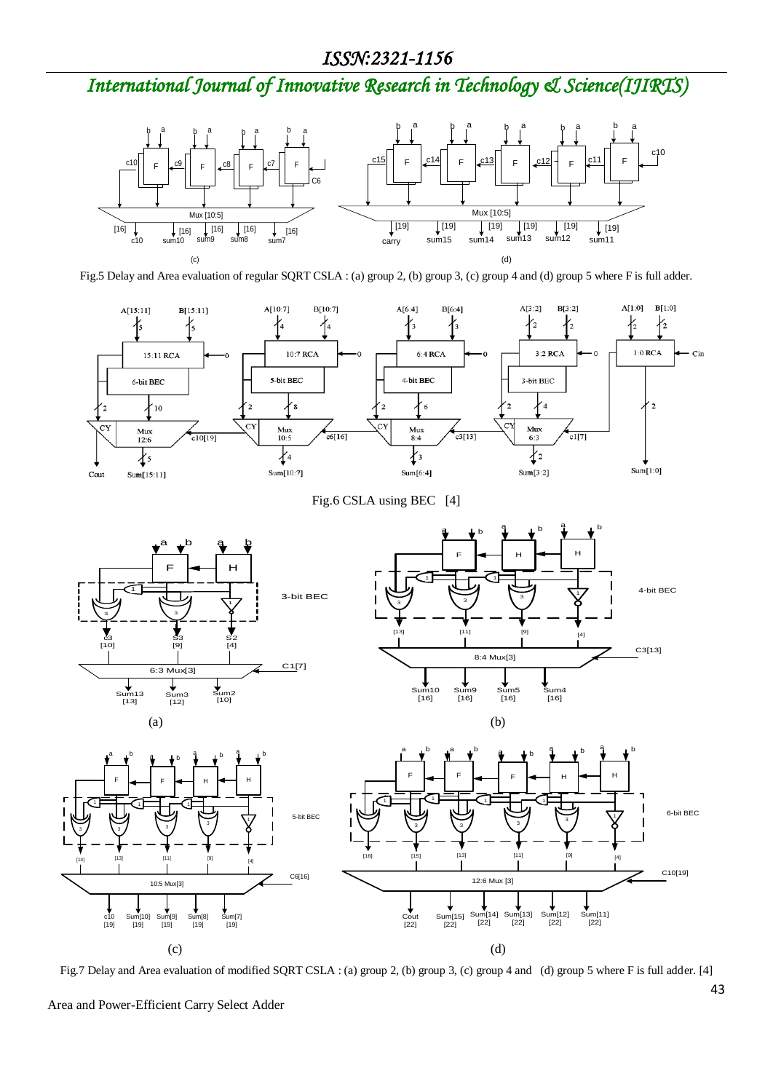*International Journal of Innovative Research in Technology & Science(IJIRTS)*



Fig.5 Delay and Area evaluation of regular SQRT CSLA : (a) group 2, (b) group 3, (c) group 4 and (d) group 5 where F is full adder.



Fig.6 CSLA using BEC [4]







Fig.7 Delay and Area evaluation of modified SQRT CSLA : (a) group 2, (b) group 3, (c) group 4 and (d) group 5 where F is full adder. [4]

Area and Power-Efficient Carry Select Adder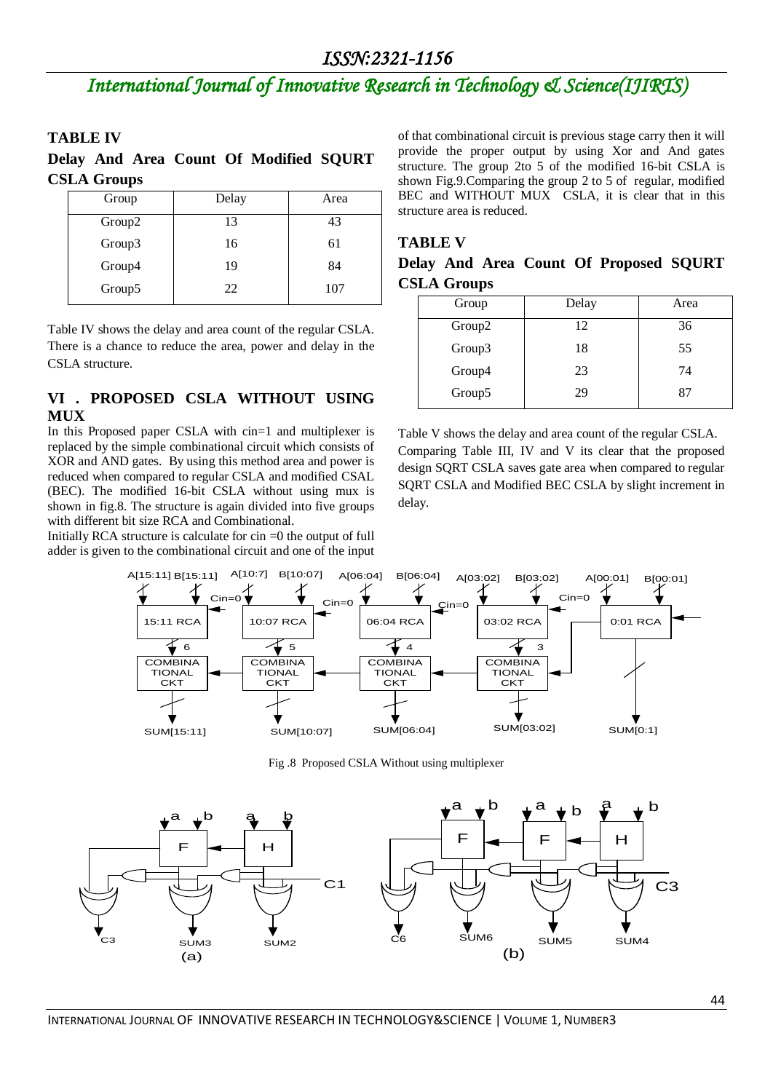## *International Journal of Innovative Research in Technology & Science(IJIRTS)*

#### **TABLE IV**

### **Delay And Area Count Of Modified SQURT CSLA Groups**

| Group              | Delay | Area |
|--------------------|-------|------|
| Group <sub>2</sub> | 13    | 43   |
| Group3             | 16    | 61   |
| Group4             | 19    | 84   |
| Group5             | 22    | 107  |
|                    |       |      |

Table IV shows the delay and area count of the regular CSLA. There is a chance to reduce the area, power and delay in the CSLA structure.

#### **VI . PROPOSED CSLA WITHOUT USING MUX**

In this Proposed paper CSLA with cin=1 and multiplexer is replaced by the simple combinational circuit which consists of XOR and AND gates. By using this method area and power is reduced when compared to regular CSLA and modified CSAL (BEC). The modified 16-bit CSLA without using mux is shown in fig.8. The structure is again divided into five groups with different bit size RCA and Combinational.

Initially RCA structure is calculate for  $\sin =0$  the output of full adder is given to the combinational circuit and one of the input

of that combinational circuit is previous stage carry then it will provide the proper output by using Xor and And gates structure. The group 2to 5 of the modified 16-bit CSLA is shown Fig.9.Comparing the group 2 to 5 of regular, modified BEC and WITHOUT MUX CSLA, it is clear that in this structure area is reduced.

#### **TABLE V**

|                    |  |  | Delay And Area Count Of Proposed SQURT |  |
|--------------------|--|--|----------------------------------------|--|
| <b>CSLA Groups</b> |  |  |                                        |  |

| Group  | Delay | Area |
|--------|-------|------|
| Group2 | 12    | 36   |
| Group3 | 18    | 55   |
| Group4 | 23    | 74   |
| Group5 | 29    | 87   |

Table V shows the delay and area count of the regular CSLA. Comparing Table III, IV and V its clear that the proposed design SQRT CSLA saves gate area when compared to regular SQRT CSLA and Modified BEC CSLA by slight increment in delay.



Fig .8 Proposed CSLA Without using multiplexer

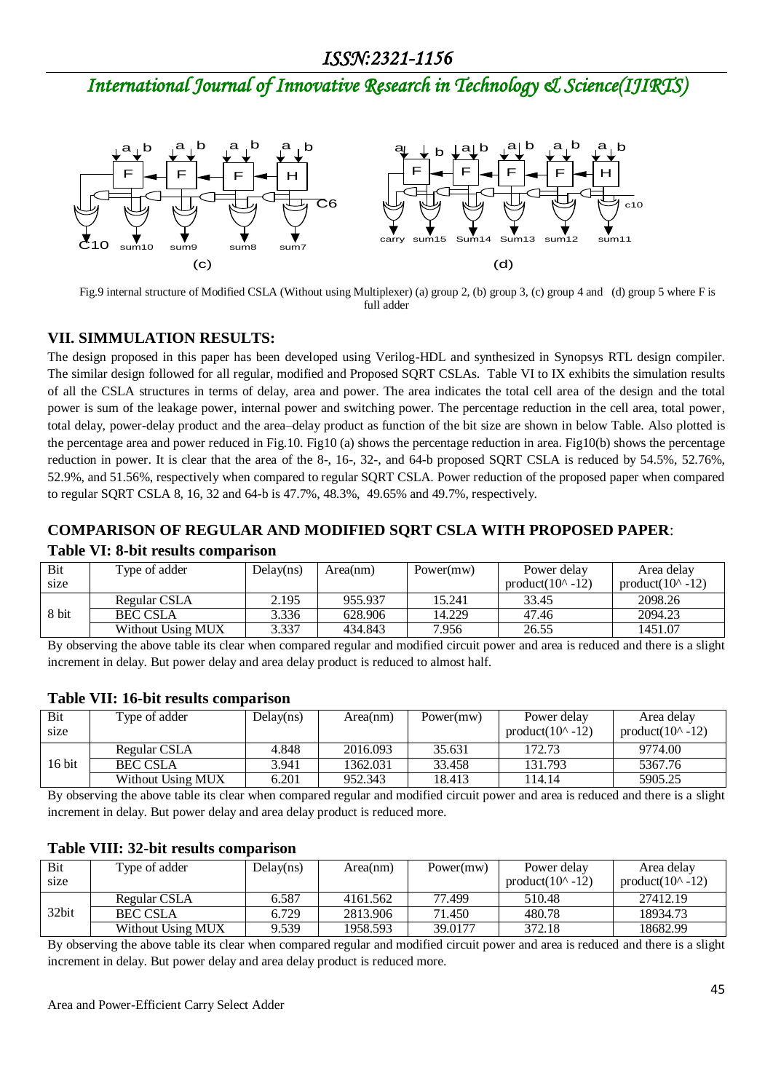*International Journal of Innovative Research in Technology & Science(IJIRTS)*



 Fig.9 internal structure of Modified CSLA (Without using Multiplexer) (a) group 2, (b) group 3, (c) group 4 and (d) group 5 where F is full adder

#### **VII. SIMMULATION RESULTS:**

The design proposed in this paper has been developed using Verilog-HDL and synthesized in Synopsys RTL design compiler. The similar design followed for all regular, modified and Proposed SQRT CSLAs. Table VI to IX exhibits the simulation results of all the CSLA structures in terms of delay, area and power. The area indicates the total cell area of the design and the total power is sum of the leakage power, internal power and switching power. The percentage reduction in the cell area, total power, total delay, power-delay product and the area–delay product as function of the bit size are shown in below Table. Also plotted is the percentage area and power reduced in Fig.10. Fig10 (a) shows the percentage reduction in area. Fig10(b) shows the percentage reduction in power. It is clear that the area of the 8-, 16-, 32-, and 64-b proposed SQRT CSLA is reduced by 54.5%, 52.76%, 52.9%, and 51.56%, respectively when compared to regular SQRT CSLA. Power reduction of the proposed paper when compared to regular SQRT CSLA 8, 16, 32 and 64-b is 47.7%, 48.3%, 49.65% and 49.7%, respectively.

#### **COMPARISON OF REGULAR AND MODIFIED SQRT CSLA WITH PROPOSED PAPER**:

| Bit    | Type of adder     | Delay(ns) | Area(nm) | Power(mw) | Power delay                | Area delay                 |
|--------|-------------------|-----------|----------|-----------|----------------------------|----------------------------|
| size   |                   |           |          |           | product( $10^{\circ}$ -12) | product( $10^{\circ}$ -12) |
|        | Regular CSLA      | 2.195     | 955.937  | 15.241    | 33.45                      | 2098.26                    |
| 8 bit  | <b>BEC CSLA</b>   | 3.336     | 628.906  | 14.229    | 47.46                      | 2094.23                    |
|        | Without Using MUX | 3.337     | 434.843  | 7.956     | 26.55                      | 1451.07                    |
| $\sim$ | .                 |           |          | .         |                            | .<br>.                     |

#### **Table VI: 8-bit results comparison**

By observing the above table its clear when compared regular and modified circuit power and area is reduced and there is a slight increment in delay. But power delay and area delay product is reduced to almost half.

| Bit<br>size | Type of adder     | Delay(ns) | Area(nm) | Power(mw) | Power delay<br>product( $10^{\circ}$ -12) | Area delav<br>product( $10^{\circ}$ -12) |
|-------------|-------------------|-----------|----------|-----------|-------------------------------------------|------------------------------------------|
|             | Regular CSLA      | 4.848     | 2016.093 | 35.631    | 172.73                                    | 9774.00                                  |
| 16 bit      | <b>BEC CSLA</b>   | 3.941     | 1362.031 | 33.458    | 131.793                                   | 5367.76                                  |
|             | Without Using MUX | 6.201     | 952.343  | 18.413    | 114.14                                    | 5905.25                                  |
| $\sim$      | .                 |           |          | $\cdots$  |                                           | . .                                      |

#### **Table VII: 16-bit results comparison**

By observing the above table its clear when compared regular and modified circuit power and area is reduced and there is a slight increment in delay. But power delay and area delay product is reduced more.

#### **Table VIII: 32-bit results comparison**

| Bit<br>size | Type of adder     | Delay(ns) | Area(nm) | Power(mw) | Power delay<br>product( $10^{\circ}$ -12) | Area delay<br>product( $10^{\circ}$ -12) |
|-------------|-------------------|-----------|----------|-----------|-------------------------------------------|------------------------------------------|
|             | Regular CSLA      | 6.587     | 4161.562 | 77.499    | 510.48                                    | 27412.19                                 |
| 32bit       | <b>BEC CSLA</b>   | 6.729     | 2813.906 | 71.450    | 480.78                                    | 18934.73                                 |
|             | Without Using MUX | 9.539     | 1958.593 | 39,0177   | 372.18                                    | 18682.99                                 |

By observing the above table its clear when compared regular and modified circuit power and area is reduced and there is a slight increment in delay. But power delay and area delay product is reduced more.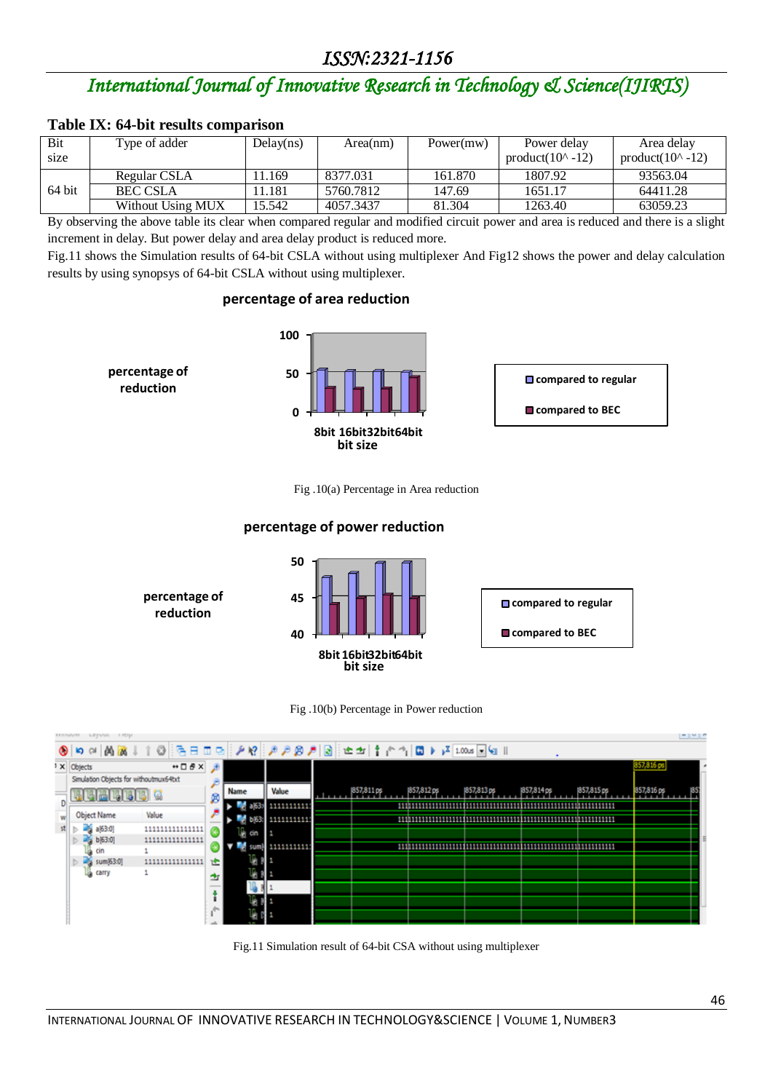## *International Journal of Innovative Research in Technology & Science(IJIRTS)*

#### **Table IX: 64-bit results comparison**

| Bit<br>size | Type of adder     | Delay(ns) | Area(nm)  | Power(mw) | Power delay<br>product( $10^{\circ}$ -12) | Area delay<br>product( $10^{\circ}$ -12) |
|-------------|-------------------|-----------|-----------|-----------|-------------------------------------------|------------------------------------------|
|             | Regular CSLA      | 1.169     | 8377.031  | 161.870   | 1807.92                                   | 93563.04                                 |
| 64 bit      | <b>BEC CSLA</b>   | 1.181     | 5760.7812 | 147.69    | 1651.17                                   | 64411.28                                 |
|             | Without Using MUX | 15.542    | 4057.3437 | 81.304    | 1263.40                                   | 63059.23                                 |

By observing the above table its clear when compared regular and modified circuit power and area is reduced and there is a slight increment in delay. But power delay and area delay product is reduced more.

Fig.11 shows the Simulation results of 64-bit CSLA without using multiplexer And Fig12 shows the power and delay calculation results by using synopsys of 64-bit CSLA without using multiplexer.

#### **percentage of area reduction**



Fig .10(a) Percentage in Area reduction

#### **percentage of power reduction**







Fig.11 Simulation result of 64-bit CSA without using multiplexer